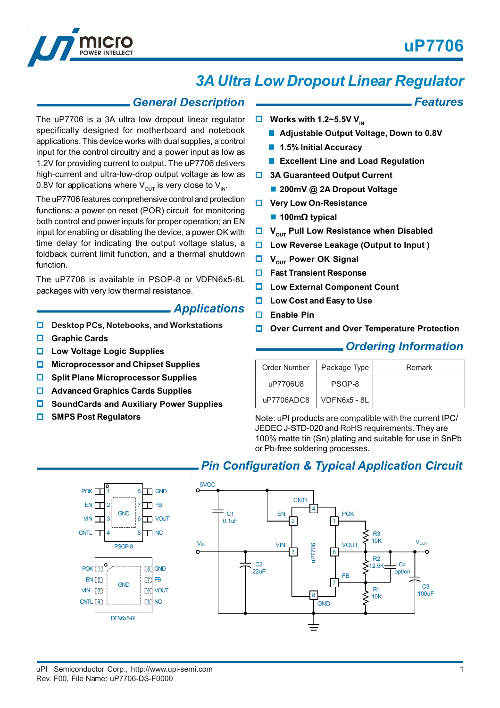*Features*



# *3A Ultra Low Dropout Linear Regulator*

### *General Description*

The uP7706 is a 3A ultra low dropout linear regulator specifically designed for motherboard and notebook applications. This device works with dual supplies, a control input for the control circuitry and a power input as low as 1.2V for providing current to output. The uP7706 delivers high-current and ultra-low-drop output voltage as low as 0.8V for applications where  $V_{\text{out}}$  is very close to  $V_{\text{in}}$ .

The uP7706 features comprehensive control and protection functions: a power on reset (POR) circuit for monitoring both control and power inputs for proper operation; an EN input for enabling or disabling the device, a power OK with time delay for indicating the output voltage status, a foldback current limit function, and a thermal shutdown function.

The uP7706 is available in PSOP-8 or VDFN6x5-8L packages with very low thermal resistance.

### *Applications*

- **Desktop PCs, Notebooks, and Workstations**
- **Graphic Cards**
- **Low Voltage Logic Supplies**
- **Microprocessor and Chipset Supplies**
- $\Box$  Split Plane Microprocessor Supplies
- **Advanced Graphics Cards Supplies**
- **SoundCards and Auxiliary Power Supplies**
- **SMPS Post Regulators**

#### $\Box$  Works with 1.2~5.5V V<sub>IN</sub>

- **Adjustable Output Voltage, Down to 0.8V**
- **1.5% Initial Accuracy**
- **Excellent Line and Load Regulation**
- $\Box$  **3A Guaranteed Output Current** 
	- **200mV @ 2A Dropout Voltage**
- $\Box$  Very Low On-Resistance
	- **100m**Ω **typical**
- **U** V<sub>OUT</sub> Pull Low Resistance when Disabled
- **Low Reverse Leakage (Output to Input )**
- **U** V<sub>OUT</sub> Power OK Signal
- **Fast Transient Response**
- **Low External Component Count**
- **Low Cost and Easy to Use**
- **Enable Pin**
- **Over Current and Over Temperature Protection**

### *Ordering Information*

| Order Number              | Package Type | Remark |
|---------------------------|--------------|--------|
| uP7706U8                  | PSOP-8       |        |
| uP7706ADC8   VDFN6x5 - 8L |              |        |

Note: uPI products are compatible with the current IPC/ JEDEC J-STD-020 and RoHS requirements. They are 100% matte tin (Sn) plating and suitable for use in SnPb or Pb-free soldering processes.

### *Pin Configuration & Typical Application Circuit*

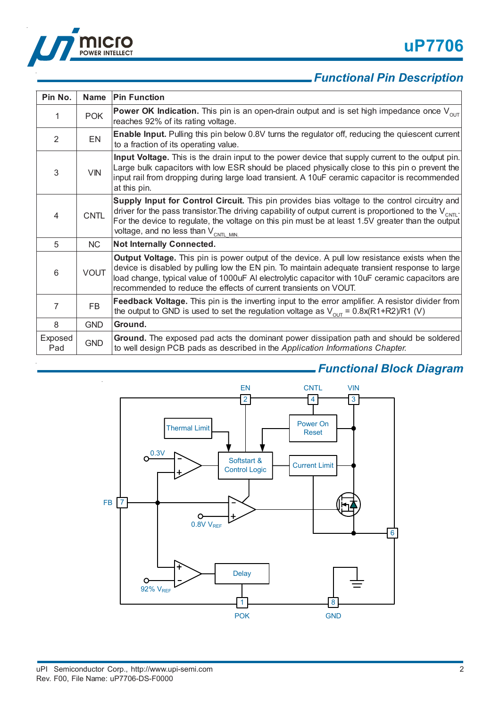



# *Functional Pin Description*

| Pin No.        | <b>Name</b> | <b>Pin Function</b>                                                                                                                                                                                                                                                                                                                                                           |
|----------------|-------------|-------------------------------------------------------------------------------------------------------------------------------------------------------------------------------------------------------------------------------------------------------------------------------------------------------------------------------------------------------------------------------|
| 1              | <b>POK</b>  | <b>Power OK Indication.</b> This pin is an open-drain output and is set high impedance once $V_{\text{out}}$<br>reaches 92% of its rating voltage.                                                                                                                                                                                                                            |
| 2              | <b>EN</b>   | <b>Enable Input.</b> Pulling this pin below 0.8V turns the regulator off, reducing the quiescent current<br>to a fraction of its operating value.                                                                                                                                                                                                                             |
| 3              | <b>VIN</b>  | Input Voltage. This is the drain input to the power device that supply current to the output pin.<br>Large bulk capacitors with low ESR should be placed physically close to this pin o prevent the<br>input rail from dropping during large load transient. A 10uF ceramic capacitor is recommended<br>at this pin.                                                          |
| $\overline{4}$ | <b>CNTL</b> | Supply Input for Control Circuit. This pin provides bias voltage to the control circuitry and<br>driver for the pass transistor. The driving capability of output current is proportioned to the $V_{\text{CNT}}$ .<br>For the device to regulate, the voltage on this pin must be at least 1.5V greater than the output<br>voltage, and no less than $V_{\text{CNTL MIN.}}$  |
| 5              | NC          | <b>Not Internally Connected.</b>                                                                                                                                                                                                                                                                                                                                              |
| 6              | <b>VOUT</b> | <b>Output Voltage.</b> This pin is power output of the device. A pull low resistance exists when the<br>device is disabled by pulling low the EN pin. To maintain adequate transient response to large<br>load change, typical value of 1000uF AI electrolytic capacitor with 10uF ceramic capacitors are<br>recommended to reduce the effects of current transients on VOUT. |
| $\overline{7}$ | FB.         | Feedback Voltage. This pin is the inverting input to the error amplifier. A resistor divider from<br>the output to GND is used to set the regulation voltage as $V_{\text{out}} = 0.8x(R1+R2)/R1$ (V)                                                                                                                                                                         |
| 8              | <b>GND</b>  | Ground.                                                                                                                                                                                                                                                                                                                                                                       |
| Exposed<br>Pad | <b>GND</b>  | Ground. The exposed pad acts the dominant power dissipation path and should be soldered<br>to well design PCB pads as described in the Application Informations Chapter.                                                                                                                                                                                                      |

# *Functional Block Diagram*

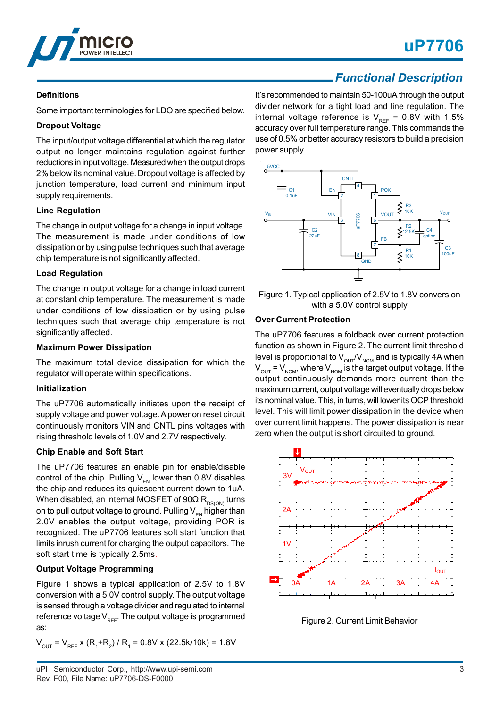

## *Functional Description*

### **Definitions**

Some important terminologies for LDO are specified below.

### **Dropout Voltage**

The input/output voltage differential at which the regulator output no longer maintains regulation against further reductions in input voltage. Measured when the output drops 2% below its nominal value. Dropout voltage is affected by junction temperature, load current and minimum input supply requirements.

### **Line Regulation**

The change in output voltage for a change in input voltage. The measurement is made under conditions of low dissipation or by using pulse techniques such that average chip temperature is not significantly affected.

### **Load Regulation**

The change in output voltage for a change in load current at constant chip temperature. The measurement is made under conditions of low dissipation or by using pulse techniques such that average chip temperature is not significantly affected.

### **Maximum Power Dissipation**

The maximum total device dissipation for which the regulator will operate within specifications.

### **Initialization**

The uP7706 automatically initiates upon the receipt of supply voltage and power voltage. A power on reset circuit continuously monitors VIN and CNTL pins voltages with rising threshold levels of 1.0V and 2.7V respectively.

### **Chip Enable and Soft Start**

The uP7706 features an enable pin for enable/disable control of the chip. Pulling  $V_{EN}$  lower than 0.8V disables the chip and reduces its quiescent current down to 1uA. When disabled, an internal MOSFET of  $90\Omega$  R<sub>DS(ON)</sub> turns on to pull output voltage to ground. Pulling  $V_{\text{EM}}$  higher than 2.0V enables the output voltage, providing POR is recognized. The uP7706 features soft start function that limits inrush current for charging the output capacitors. The soft start time is typically 2.5ms.

### **Output Voltage Programming**

Figure 1 shows a typical application of 2.5V to 1.8V conversion with a 5.0V control supply. The output voltage is sensed through a voltage divider and regulated to internal reference voltage  $V_{\text{ref}}$ . The output voltage is programmed as:

 $V_{\text{OUT}}$  =  $V_{\text{REF}}$  x (R<sub>1</sub>+R<sub>2</sub>) / R<sub>1</sub> = 0.8V x (22.5k/10k) = 1.8V

It's recommended to maintain 50-100uA through the output divider network for a tight load and line regulation. The internal voltage reference is  $V_{REF} = 0.8V$  with 1.5% accuracy over full temperature range. This commands the use of 0.5% or better accuracy resistors to build a precision power supply.



Figure 1. Typical application of 2.5V to 1.8V conversion with a 5.0V control supply

### **Over Current Protection**

The uP7706 features a foldback over current protection function as shown in Figure 2. The current limit threshold level is proportional to  $V_{\text{out}}/V_{\text{nom}}$  and is typically 4A when  $V_{\text{OUT}} = V_{\text{NOM}}$ , where  $V_{\text{NOM}}$  is the target output voltage. If the output continuously demands more current than the maximum current, output voltage will eventually drops below its nominal value. This, in turns, will lower its OCP threshold level. This will limit power dissipation in the device when over current limit happens. The power dissipation is near zero when the output is short circuited to ground.



Figure 2. Current Limit Behavior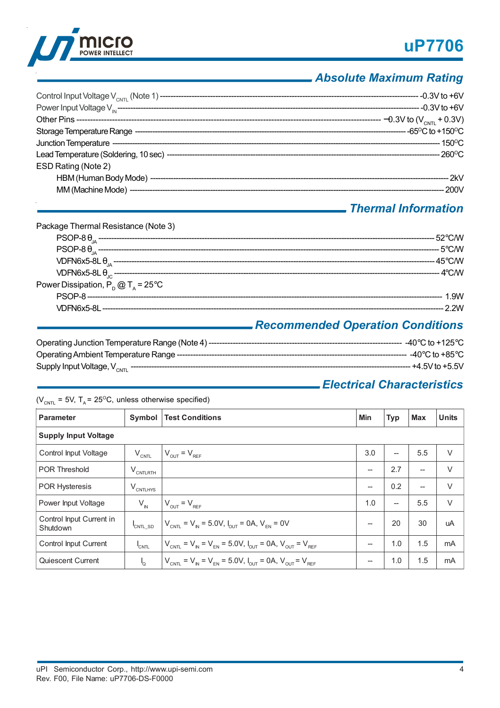



# *Absolute Maximum Rating*

| ESD Rating (Note 2) |  |
|---------------------|--|
|                     |  |
|                     |  |
|                     |  |

# *Thermal Information*

| Package Thermal Resistance (Note 3)         |                                  |
|---------------------------------------------|----------------------------------|
|                                             |                                  |
|                                             |                                  |
|                                             |                                  |
|                                             |                                  |
| Power Dissipation, $P_p @ T_a = 25^\circ C$ |                                  |
|                                             |                                  |
|                                             |                                  |
|                                             | Decempended Operation Conditions |

### *Recommended Operation Conditions*

| Operating Junction Temperature Range (Note 4)-----<br>____________________________________ | $-40^{\circ}$ C to +125°C $\,$ |
|--------------------------------------------------------------------------------------------|--------------------------------|
|                                                                                            | --- -40°C to +85°C             |
| Supply Input Voltage, V <sub>CNTI</sub>                                                    | -- +4.5V to +5.5V              |

# *Electrical Characteristics*

( $V_{CNTL}$  = 5V, T<sub>A</sub> = 25<sup>o</sup>C, unless otherwise specified)

| <b>Parameter</b>                     | Symbol                | <b>Test Conditions</b>                                                | Min  | <b>Typ</b> | Max | <b>Units</b> |  |
|--------------------------------------|-----------------------|-----------------------------------------------------------------------|------|------------|-----|--------------|--|
| <b>Supply Input Voltage</b>          |                       |                                                                       |      |            |     |              |  |
| Control Input Voltage                | $V_{\text{CNTL}}$     | $V_{OUT} = V_{REF}$                                                   | 3.0  |            | 5.5 | $\vee$       |  |
| <b>POR Threshold</b>                 | $V_{\text{CNTLRTH}}$  |                                                                       | --   | 2.7        | $-$ | $\vee$       |  |
| <b>POR Hysteresis</b>                | $V_{\text{CNTLHYS}}$  |                                                                       | $--$ | 0.2        | $-$ | $\vee$       |  |
| Power Input Voltage                  | $V_{\text{IN}}$       | $V_{\text{OUT}} = V_{\text{REF}}$                                     | 1.0  |            | 5.5 | $\vee$       |  |
| Control Input Current in<br>Shutdown | CNTL SD               | $V_{CNTL} = V_{N} = 5.0V, I_{CUT} = 0A, V_{FN} = 0V$                  | --   | 20         | 30  | uA           |  |
| Control Input Current                | <b>CNTL</b>           | $V_{CNTL} = V_{N} = V_{EN} = 5.0 V, I_{OUT} = 0 A, V_{OUT} = V_{REF}$ | $--$ | 1.0        | 1.5 | mA           |  |
| Quiescent Current                    | $\mathsf{I}_{\Omega}$ | $V_{CNTL} = V_{N} = V_{FN} = 5.0 V, I_{OUT} = 0 A, V_{OUT} = V_{REF}$ | --   | 1.0        | 1.5 | mA           |  |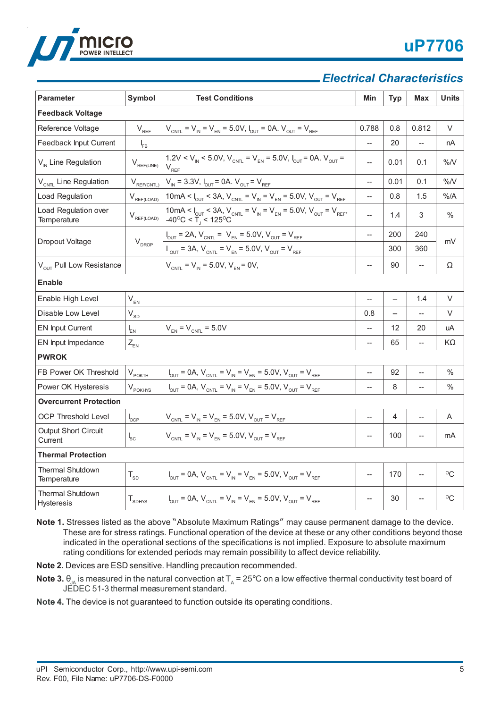

# *Electrical Characteristics*

| <b>Parameter</b>                             | Symbol                      | <b>Test Conditions</b>                                                                                                                                                                         | Min            | <b>Typ</b>               | <b>Max</b>               | <b>Units</b>    |  |  |
|----------------------------------------------|-----------------------------|------------------------------------------------------------------------------------------------------------------------------------------------------------------------------------------------|----------------|--------------------------|--------------------------|-----------------|--|--|
| <b>Feedback Voltage</b>                      |                             |                                                                                                                                                                                                |                |                          |                          |                 |  |  |
| Reference Voltage                            | $\mathsf{V}_{\mathsf{REF}}$ | $V_{CNTL} = V_{N} = V_{EN} = 5.0 V, I_{OUT} = 0 A. V_{OUT} = V_{REF}$                                                                                                                          | 0.788          | 0.8                      | 0.812                    | V               |  |  |
| Feedback Input Current                       | $I_{FB}$                    |                                                                                                                                                                                                | $\overline{a}$ | 20                       | $\overline{\phantom{0}}$ | nA              |  |  |
| V <sub>IN</sub> Line Regulation              | $V_{REF(LINE)}$             | 1.2V < V <sub>IN</sub> < 5.0V, V <sub>CNTL</sub> = V <sub>EN</sub> = 5.0V, I <sub>OUT</sub> = 0A. V <sub>OUT</sub> =<br>$V_{REF}$                                                              | --             | 0.01                     | 0.1                      | %N              |  |  |
| V <sub>CNTL</sub> Line Regulation            | $V_{REF(CNTL)}$             | $V_{N}$ = 3.3V, $I_{OUT}$ = 0A. $V_{OUT}$ = $V_{REF}$                                                                                                                                          | $\overline{a}$ | 0.01                     | 0.1                      | %N              |  |  |
| Load Regulation                              | $V_{\text{REF(LOAD)}}$      | 10mA < $I_{\text{OUT}}$ < 3A, $V_{\text{CNT}}$ = $V_{\text{N}}$ = $V_{\text{EN}}$ = 5.0V, $V_{\text{OUT}}$ = $V_{\text{REF}}$                                                                  | --             | 0.8                      | 1.5                      | %/A             |  |  |
| Load Regulation over<br>Temperature          | $V_{\text{REF(LOAD)}}$      | 10mA < $I_{\text{OUT}}$ < 3A, $V_{\text{CNT}} = V_{\text{N}} = V_{\text{EN}} = 5.0 \text{V}$ , $V_{\text{OUT}} = V_{\text{REF}}$ ,<br>-40 <sup>o</sup> C < T <sub>1</sub> < 125 <sup>o</sup> C | $\overline{a}$ | 1.4                      | 3                        | $\%$            |  |  |
|                                              |                             | $I_{\text{OUT}} = 2A$ , $V_{\text{CNT}} = V_{\text{EN}} = 5.0 V$ , $V_{\text{OUT}} = V_{\text{REF}}$                                                                                           | $\overline{a}$ | 200                      | 240                      | mV              |  |  |
| Dropout Voltage                              | $V_{DROP}$                  | $V_{\text{OUT}} = 3A$ , $V_{\text{CNTL}} = V_{\text{EN}} = 5.0 \text{V}$ , $V_{\text{OUT}} = V_{\text{REF}}$                                                                                   |                | 300                      | 360                      |                 |  |  |
| $V_{OUT}$ Pull Low Resistance                |                             | $V_{CNTL} = V_{N} = 5.0 V, V_{EN} = 0 V,$                                                                                                                                                      | --             | 90                       | --                       | Ω               |  |  |
| <b>Enable</b>                                |                             |                                                                                                                                                                                                |                |                          |                          |                 |  |  |
| Enable High Level                            | $V_{EN}$                    |                                                                                                                                                                                                | --             | $\overline{\phantom{a}}$ | 1.4                      | V               |  |  |
| Disable Low Level                            | $V_{SD}$                    |                                                                                                                                                                                                | 0.8            |                          | $\overline{\phantom{0}}$ | V               |  |  |
| <b>EN Input Current</b>                      | $I_{EN}$                    | $V_{EN}$ = $V_{CNTL}$ = 5.0V                                                                                                                                                                   | $\overline{a}$ | 12                       | 20                       | uA              |  |  |
| EN Input Impedance                           | $Z_{EN}$                    |                                                                                                                                                                                                | $\overline{a}$ | 65                       | --                       | ΚΩ              |  |  |
| <b>PWROK</b>                                 |                             |                                                                                                                                                                                                |                |                          |                          |                 |  |  |
| FB Power OK Threshold                        | $V_{\text{POKTH}}$          | $I_{\text{OUT}} = 0A$ , $V_{\text{CNTL}} = V_{\text{IN}} = V_{\text{EN}} = 5.0V$ , $V_{\text{OUT}} = V_{\text{REF}}$                                                                           | --             | 92                       | $\overline{\phantom{a}}$ | %               |  |  |
| Power OK Hysteresis                          | $V_{\text{POKHYS}}$         | $I_{\text{OUT}} = 0A$ , $V_{\text{CNTL}} = V_{\text{IN}} = V_{\text{EN}} = 5.0V$ , $V_{\text{OUT}} = V_{\text{REF}}$                                                                           |                | 8                        |                          | $\%$            |  |  |
| <b>Overcurrent Protection</b>                |                             |                                                                                                                                                                                                |                |                          |                          |                 |  |  |
| <b>OCP Threshold Level</b>                   | $I_{\text{OCP}}$            | $V_{CNTL} = V_{IN} = V_{EN} = 5.0 V, V_{OUT} = V_{REF}$                                                                                                                                        | --             | 4                        | $\qquad \qquad -$        | A               |  |  |
| Output Short Circuit<br>Current              | $\mathsf{l}_{\mathsf{sc}}$  | $V_{CNT} = V_{N} = V_{FN} = 5.0 V, V_{OUT} = V_{REF}$                                                                                                                                          | --             | 100                      |                          | mA              |  |  |
| <b>Thermal Protection</b>                    |                             |                                                                                                                                                                                                |                |                          |                          |                 |  |  |
| <b>Thermal Shutdown</b><br>Temperature       | $T_{SD}$                    | $V_{\text{OUT}} = 0A$ , $V_{\text{CNT}} = V_{\text{IN}} = V_{\text{EN}} = 5.0 V$ , $V_{\text{OUT}} = V_{\text{REF}}$                                                                           | --             | 170                      | $\overline{\phantom{0}}$ | $\rm ^{\circ}C$ |  |  |
| <b>Thermal Shutdown</b><br><b>Hysteresis</b> | $T_{SDHYS}$                 | $V_{\text{OUT}} = 0A$ , $V_{\text{CNT}} = V_{\text{IN}} = V_{\text{EN}} = 5.0V$ , $V_{\text{OUT}} = V_{\text{REF}}$                                                                            | $-$            | 30                       |                          | $^{\circ}C$     |  |  |

**Note 1.** Stresses listed as the above "Absolute Maximum Ratings" may cause permanent damage to the device. These are for stress ratings. Functional operation of the device at these or any other conditions beyond those indicated in the operational sections of the specifications is not implied. Exposure to absolute maximum rating conditions for extended periods may remain possibility to affect device reliability.

**Note 2.** Devices are ESD sensitive. Handling precaution recommended.

**Note 3.**  $\theta_{IA}$  is measured in the natural convection at  $T_A = 25^\circ$ C on a low effective thermal conductivity test board of JEDEC 51-3 thermal measurement standard.

**Note 4.** The device is not guaranteed to function outside its operating conditions.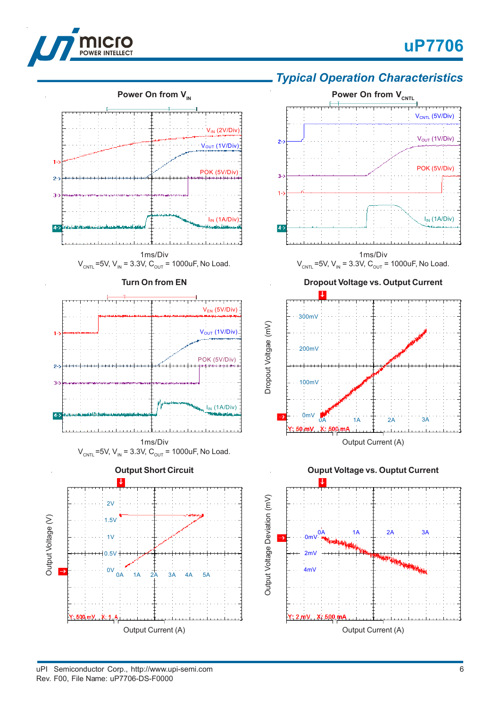



# *Typical Operation Characteristics*



uPI Semiconductor Corp., http://www.upi-semi.com Rev. F00, File Name: uP7706-DS-F0000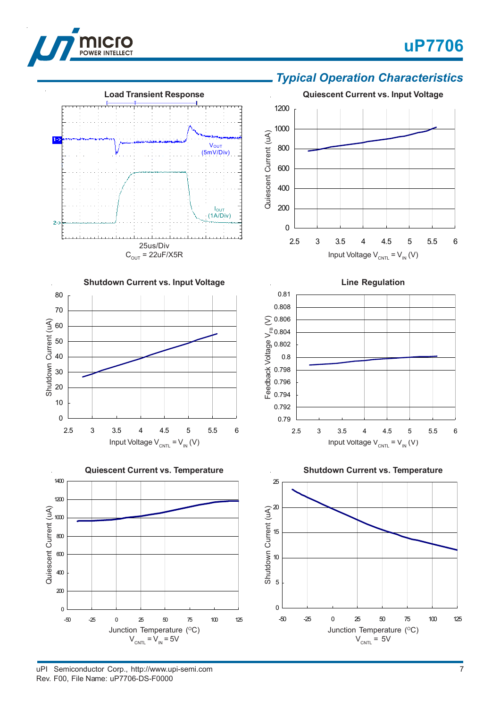

 $1 - 2$ 

 $2 -$ 

# **uP7706**







V<sub>OUT</sub><br>(5mV/Div)

**Load Transient Response**

25us/Div

and a continued a continued and

IOUT (1A/Div)

uPI Semiconductor Corp., http://www.upi-semi.com Rev. F00, File Name: uP7706-DS-F0000

Junction Temperature (°C)  $V_{CNTL} = V_{IN} = 5V$ 

Junction Temperature (°C)  $V_{CNTL}$  = 5V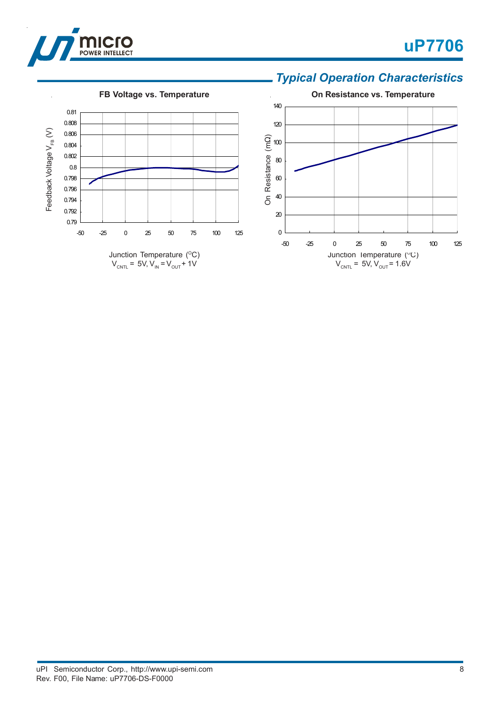



# *Typical Operation Characteristics*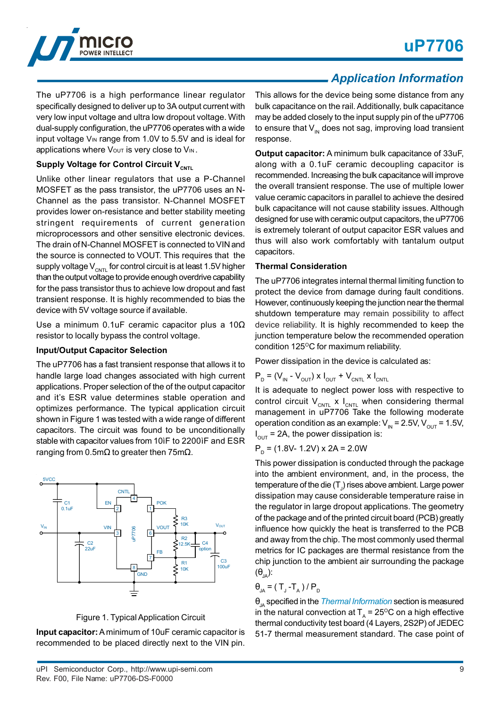

The uP7706 is a high performance linear regulator specifically designed to deliver up to 3A output current with very low input voltage and ultra low dropout voltage. With dual-supply configuration, the uP7706 operates with a wide input voltage VIN range from 1.0V to 5.5V and is ideal for applications where Vout is very close to VIN.

### **Supply Voltage for Control Circuit V<sub>CNTL</sub>**

Unlike other linear regulators that use a P-Channel MOSFET as the pass transistor, the uP7706 uses an N-Channel as the pass transistor. N-Channel MOSFET provides lower on-resistance and better stability meeting stringent requirements of current generation microprocessors and other sensitive electronic devices. The drain of N-Channel MOSFET is connected to VIN and the source is connected to VOUT. This requires that the supply voltage  $V_{\text{CNTL}}$  for control circuit is at least 1.5V higher than the output voltage to provide enough overdrive capability for the pass transistor thus to achieve low dropout and fast transient response. It is highly recommended to bias the device with 5V voltage source if available.

Use a minimum 0.1uF ceramic capacitor plus a 10Ω resistor to locally bypass the control voltage.

#### **Input/Output Capacitor Selection**

The uP7706 has a fast transient response that allows it to handle large load changes associated with high current applications. Proper selection of the of the output capacitor and it's ESR value determines stable operation and optimizes performance. The typical application circuit shown in Figure 1 was tested with a wide range of different capacitors. The circuit was found to be unconditionally stable with capacitor values from 10ìF to 2200ìF and ESR ranging from 0.5mΩ to greater then 75mΩ.



Figure 1. Typical Application Circuit

**Input capacitor:** A minimum of 10uF ceramic capacitor is recommended to be placed directly next to the VIN pin.

# *Application Information*

This allows for the device being some distance from any bulk capacitance on the rail. Additionally, bulk capacitance may be added closely to the input supply pin of the uP7706 to ensure that  $V_{\text{IN}}$  does not sag, improving load transient response.

**Output capacitor:** A minimum bulk capacitance of 33uF, along with a 0.1uF ceramic decoupling capacitor is recommended. Increasing the bulk capacitance will improve the overall transient response. The use of multiple lower value ceramic capacitors in parallel to achieve the desired bulk capacitance will not cause stability issues. Although designed for use with ceramic output capacitors, the uP7706 is extremely tolerant of output capacitor ESR values and thus will also work comfortably with tantalum output capacitors.

#### **Thermal Consideration**

The uP7706 integrates internal thermal limiting function to protect the device from damage during fault conditions. However, continuously keeping the junction near the thermal shutdown temperature may remain possibility to affect device reliability. It is highly recommended to keep the junction temperature below the recommended operation condition  $125^{\circ}$ C for maximum reliability.

Power dissipation in the device is calculated as:

$$
P_{D} = (V_{IN} - V_{OUT}) \times I_{OUT} + V_{CNTL} \times I_{CNTL}
$$

It is adequate to neglect power loss with respective to control circuit  $V_{CNTL}$  x  $I_{CNTL}$  when considering thermal management in uP7706 Take the following moderate operation condition as an example:  $V_{\text{IN}} = 2.5V$ ,  $V_{\text{OUT}} = 1.5V$ ,  $I_{\text{OUT}}$  = 2A, the power dissipation is:

$$
PD = (1.8V - 1.2V) \times 2A = 2.0W
$$

This power dissipation is conducted through the package into the ambient environment, and, in the process, the temperature of the die (T $_{\rm J}$ ) rises above ambient. Large power dissipation may cause considerable temperature raise in the regulator in large dropout applications. The geometry of the package and of the printed circuit board (PCB) greatly influence how quickly the heat is transferred to the PCB and away from the chip. The most commonly used thermal metrics for IC packages are thermal resistance from the chip junction to the ambient air surrounding the package  $(\theta_{\text{IA}})$ :

$$
\theta_{JA} = (T_{J} - T_{A})/P_{D}
$$

θ<sub>JA</sub> specified in the *Thermal Information* section is measured in the natural convection at  $T<sub>A</sub> = 25$ <sup>o</sup>C on a high effective thermal conductivity test board (4 Layers, 2S2P) of JEDEC 51-7 thermal measurement standard. The case point of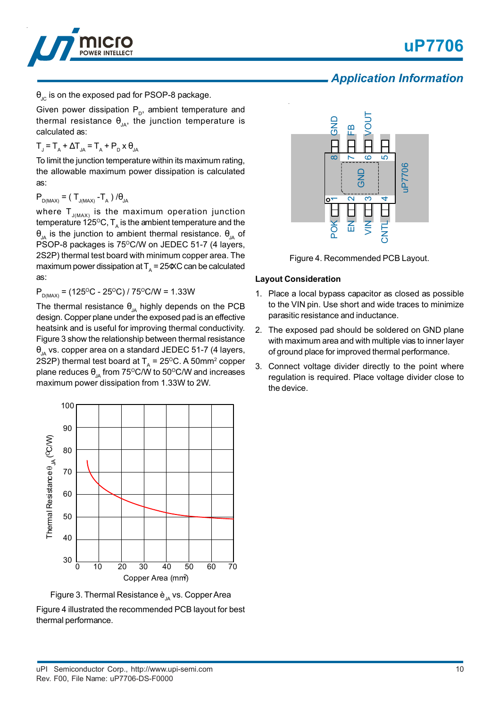



## *Application Information*

 $\theta_{\text{IC}}$  is on the exposed pad for PSOP-8 package.

Given power dissipation  $P_{p}$ , ambient temperature and thermal resistance  $\theta_{JA}$ , the junction temperature is calculated as:

$$
T_{J} = T_{A} + \Delta T_{JA} = T_{A} + P_{D} \times \theta_{JA}
$$

To limit the junction temperature within its maximum rating, the allowable maximum power dissipation is calculated as:

$$
P_{D(MAX)} = (T_{J(MAX)} - T_A) / \theta_{JA}
$$

where  ${\sf T}_{_{\sf J(MAX)}}$  is the maximum operation junction temperature 125 $^{\rm o}$ C, T<sub>A</sub> is the ambient temperature and the θ<sub>JA</sub> is the junction to ambient thermal resistance.  $θ_{JA}$  of PSOP-8 packages is 75°C/W on JEDEC 51-7 (4 layers, 2S2P) thermal test board with minimum copper area. The maximum power dissipation at  $T_A = 25 \times C$  can be calculated as:

 $P_{D(MAX)} = (125\text{°C} - 25\text{°C}) / 75\text{°C/W} = 1.33\text{W}$ 

The thermal resistance  $\theta_{JA}$  highly depends on the PCB design. Copper plane under the exposed pad is an effective heatsink and is useful for improving thermal conductivity. Figure 3 show the relationship between thermal resistance  $\theta_{1A}$  vs. copper area on a standard JEDEC 51-7 (4 layers, 2S2P) thermal test board at  $T_A$  = 25<sup>o</sup>C. A 50mm<sup>2</sup> copper plane reduces  $\theta_{JA}$  from 75°C/W to 50°C/W and increases maximum power dissipation from 1.33W to 2W.



Figure 3. Thermal Resistance  $\dot{e}_{\mu}$  vs. Copper Area

Figure 4 illustrated the recommended PCB layout for best thermal performance.





### **Layout Consideration**

- 1. Place a local bypass capacitor as closed as possible to the VIN pin. Use short and wide traces to minimize parasitic resistance and inductance.
- 2. The exposed pad should be soldered on GND plane with maximum area and with multiple vias to inner layer of ground place for improved thermal performance.
- 3. Connect voltage divider directly to the point where regulation is required. Place voltage divider close to the device.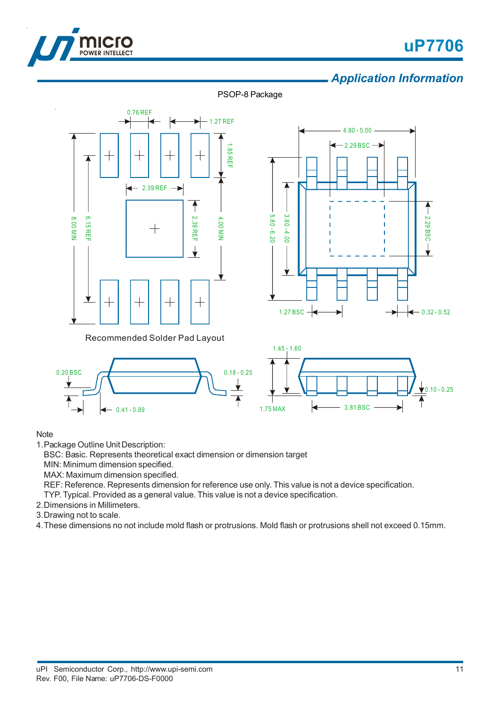

# **uP7706**

# *Application Information*

PSOP-8 Package







### **Note**

1.Package Outline Unit Description:

BSC: Basic. Represents theoretical exact dimension or dimension target

MIN: Minimum dimension specified.

MAX: Maximum dimension specified.

REF: Reference. Represents dimension for reference use only. This value is not a device specification.

TYP. Typical. Provided as a general value. This value is not a device specification.

- 2.Dimensions in Millimeters.
- 3.Drawing not to scale.

4.These dimensions no not include mold flash or protrusions. Mold flash or protrusions shell not exceed 0.15mm.